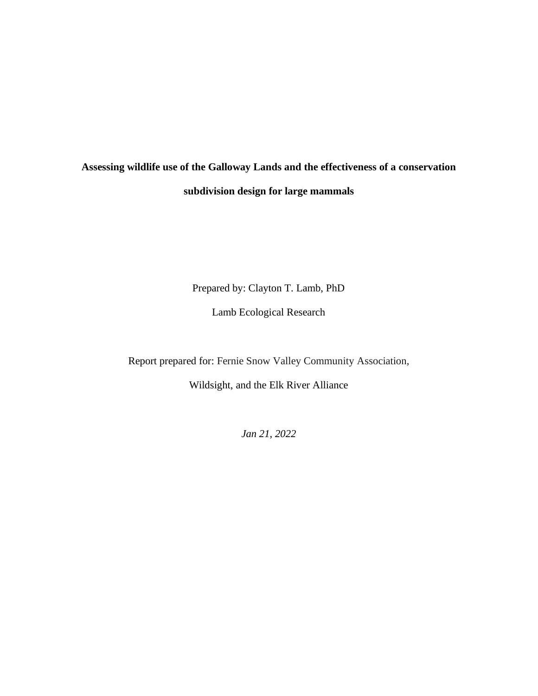# **Assessing wildlife use of the Galloway Lands and the effectiveness of a conservation subdivision design for large mammals**

Prepared by: Clayton T. Lamb, PhD

Lamb Ecological Research

Report prepared for: Fernie Snow Valley Community Association,

Wildsight, and the Elk River Alliance

*Jan 21, 2022*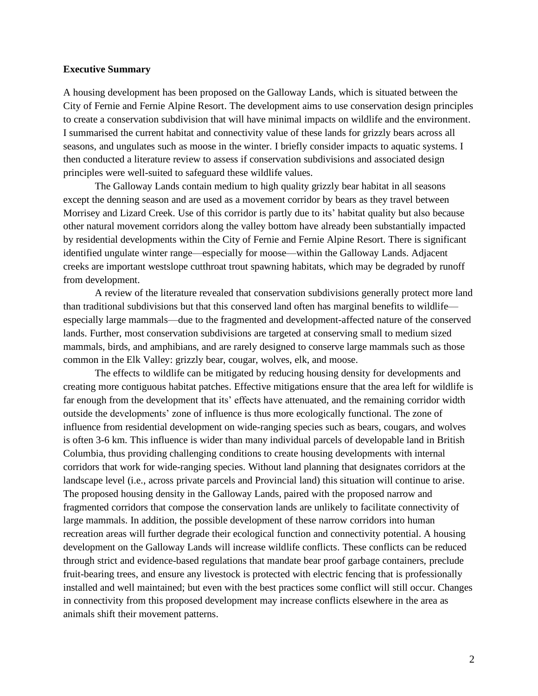#### **Executive Summary**

A housing development has been proposed on the Galloway Lands, which is situated between the City of Fernie and Fernie Alpine Resort. The development aims to use conservation design principles to create a conservation subdivision that will have minimal impacts on wildlife and the environment. I summarised the current habitat and connectivity value of these lands for grizzly bears across all seasons, and ungulates such as moose in the winter. I briefly consider impacts to aquatic systems. I then conducted a literature review to assess if conservation subdivisions and associated design principles were well-suited to safeguard these wildlife values.

The Galloway Lands contain medium to high quality grizzly bear habitat in all seasons except the denning season and are used as a movement corridor by bears as they travel between Morrisey and Lizard Creek. Use of this corridor is partly due to its' habitat quality but also because other natural movement corridors along the valley bottom have already been substantially impacted by residential developments within the City of Fernie and Fernie Alpine Resort. There is significant identified ungulate winter range—especially for moose—within the Galloway Lands. Adjacent creeks are important westslope cutthroat trout spawning habitats, which may be degraded by runoff from development.

A review of the literature revealed that conservation subdivisions generally protect more land than traditional subdivisions but that this conserved land often has marginal benefits to wildlife especially large mammals—due to the fragmented and development-affected nature of the conserved lands. Further, most conservation subdivisions are targeted at conserving small to medium sized mammals, birds, and amphibians, and are rarely designed to conserve large mammals such as those common in the Elk Valley: grizzly bear, cougar, wolves, elk, and moose.

The effects to wildlife can be mitigated by reducing housing density for developments and creating more contiguous habitat patches. Effective mitigations ensure that the area left for wildlife is far enough from the development that its' effects have attenuated, and the remaining corridor width outside the developments' zone of influence is thus more ecologically functional. The zone of influence from residential development on wide-ranging species such as bears, cougars, and wolves is often 3-6 km. This influence is wider than many individual parcels of developable land in British Columbia, thus providing challenging conditions to create housing developments with internal corridors that work for wide-ranging species. Without land planning that designates corridors at the landscape level (i.e., across private parcels and Provincial land) this situation will continue to arise. The proposed housing density in the Galloway Lands, paired with the proposed narrow and fragmented corridors that compose the conservation lands are unlikely to facilitate connectivity of large mammals. In addition, the possible development of these narrow corridors into human recreation areas will further degrade their ecological function and connectivity potential. A housing development on the Galloway Lands will increase wildlife conflicts. These conflicts can be reduced through strict and evidence-based regulations that mandate bear proof garbage containers, preclude fruit-bearing trees, and ensure any livestock is protected with electric fencing that is professionally installed and well maintained; but even with the best practices some conflict will still occur. Changes in connectivity from this proposed development may increase conflicts elsewhere in the area as animals shift their movement patterns.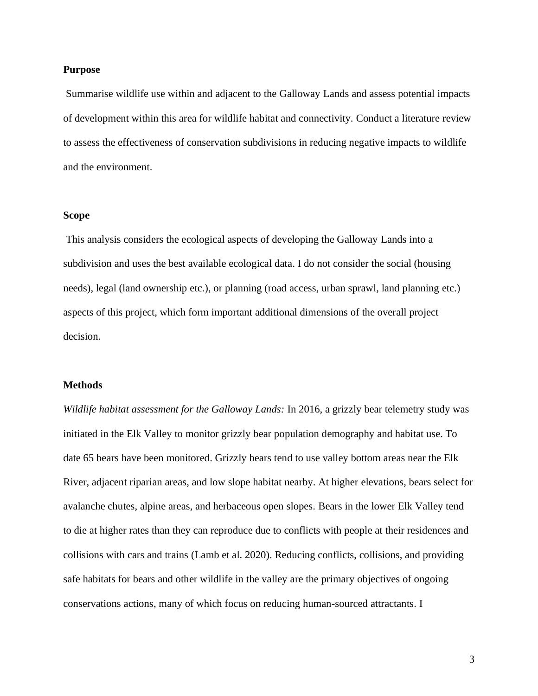### **Purpose**

Summarise wildlife use within and adjacent to the Galloway Lands and assess potential impacts of development within this area for wildlife habitat and connectivity. Conduct a literature review to assess the effectiveness of conservation subdivisions in reducing negative impacts to wildlife and the environment.

# **Scope**

This analysis considers the ecological aspects of developing the Galloway Lands into a subdivision and uses the best available ecological data. I do not consider the social (housing needs), legal (land ownership etc.), or planning (road access, urban sprawl, land planning etc.) aspects of this project, which form important additional dimensions of the overall project decision.

#### **Methods**

*Wildlife habitat assessment for the Galloway Lands:* In 2016, a grizzly bear telemetry study was initiated in the Elk Valley to monitor grizzly bear population demography and habitat use. To date 65 bears have been monitored. Grizzly bears tend to use valley bottom areas near the Elk River, adjacent riparian areas, and low slope habitat nearby. At higher elevations, bears select for avalanche chutes, alpine areas, and herbaceous open slopes. Bears in the lower Elk Valley tend to die at higher rates than they can reproduce due to conflicts with people at their residences and collisions with cars and trains (Lamb et al. 2020). Reducing conflicts, collisions, and providing safe habitats for bears and other wildlife in the valley are the primary objectives of ongoing conservations actions, many of which focus on reducing human-sourced attractants. I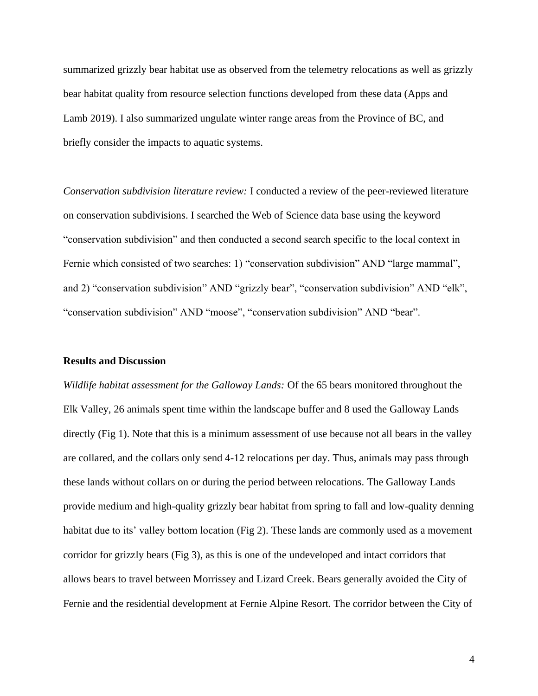summarized grizzly bear habitat use as observed from the telemetry relocations as well as grizzly bear habitat quality from resource selection functions developed from these data (Apps and Lamb 2019). I also summarized ungulate winter range areas from the Province of BC, and briefly consider the impacts to aquatic systems.

*Conservation subdivision literature review:* I conducted a review of the peer-reviewed literature on conservation subdivisions. I searched the Web of Science data base using the keyword "conservation subdivision" and then conducted a second search specific to the local context in Fernie which consisted of two searches: 1) "conservation subdivision" AND "large mammal", and 2) "conservation subdivision" AND "grizzly bear", "conservation subdivision" AND "elk", "conservation subdivision" AND "moose", "conservation subdivision" AND "bear".

#### **Results and Discussion**

*Wildlife habitat assessment for the Galloway Lands:* Of the 65 bears monitored throughout the Elk Valley, 26 animals spent time within the landscape buffer and 8 used the Galloway Lands directly (Fig 1). Note that this is a minimum assessment of use because not all bears in the valley are collared, and the collars only send 4-12 relocations per day. Thus, animals may pass through these lands without collars on or during the period between relocations. The Galloway Lands provide medium and high-quality grizzly bear habitat from spring to fall and low-quality denning habitat due to its' valley bottom location (Fig 2). These lands are commonly used as a movement corridor for grizzly bears (Fig 3), as this is one of the undeveloped and intact corridors that allows bears to travel between Morrissey and Lizard Creek. Bears generally avoided the City of Fernie and the residential development at Fernie Alpine Resort. The corridor between the City of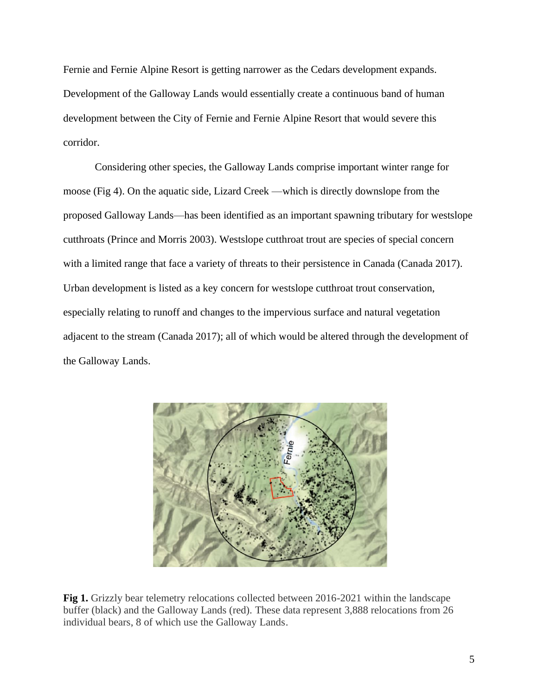Fernie and Fernie Alpine Resort is getting narrower as the Cedars development expands. Development of the Galloway Lands would essentially create a continuous band of human development between the City of Fernie and Fernie Alpine Resort that would severe this corridor.

Considering other species, the Galloway Lands comprise important winter range for moose (Fig 4). On the aquatic side, Lizard Creek —which is directly downslope from the proposed Galloway Lands—has been identified as an important spawning tributary for westslope cutthroats (Prince and Morris 2003). Westslope cutthroat trout are species of special concern with a limited range that face a variety of threats to their persistence in Canada (Canada 2017). Urban development is listed as a key concern for westslope cutthroat trout conservation, especially relating to runoff and changes to the impervious surface and natural vegetation adjacent to the stream (Canada 2017); all of which would be altered through the development of the Galloway Lands.



**Fig 1.** Grizzly bear telemetry relocations collected between 2016-2021 within the landscape buffer (black) and the Galloway Lands (red). These data represent 3,888 relocations from 26 individual bears, 8 of which use the Galloway Lands.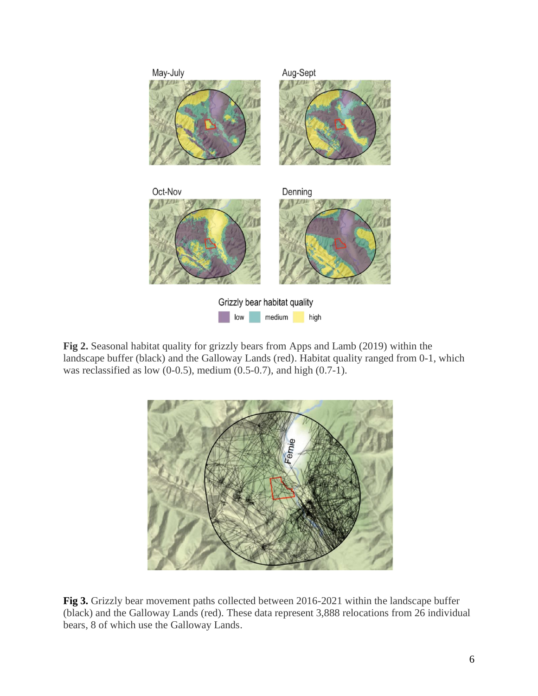

**Fig 2.** Seasonal habitat quality for grizzly bears from Apps and Lamb (2019) within the landscape buffer (black) and the Galloway Lands (red). Habitat quality ranged from 0-1, which was reclassified as low (0-0.5), medium (0.5-0.7), and high (0.7-1).



**Fig 3.** Grizzly bear movement paths collected between 2016-2021 within the landscape buffer (black) and the Galloway Lands (red). These data represent 3,888 relocations from 26 individual bears, 8 of which use the Galloway Lands.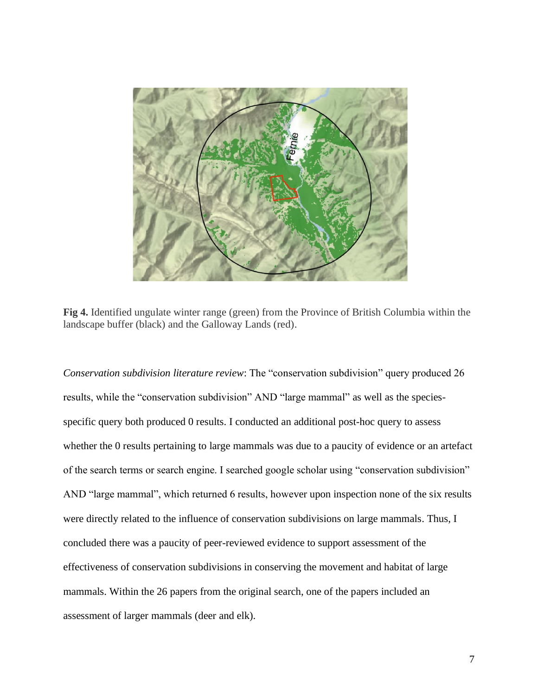

**Fig 4.** Identified ungulate winter range (green) from the Province of British Columbia within the landscape buffer (black) and the Galloway Lands (red).

*Conservation subdivision literature review*: The "conservation subdivision" query produced 26 results, while the "conservation subdivision" AND "large mammal" as well as the speciesspecific query both produced 0 results. I conducted an additional post-hoc query to assess whether the 0 results pertaining to large mammals was due to a paucity of evidence or an artefact of the search terms or search engine. I searched google scholar using "conservation subdivision" AND "large mammal", which returned 6 results, however upon inspection none of the six results were directly related to the influence of conservation subdivisions on large mammals. Thus, I concluded there was a paucity of peer-reviewed evidence to support assessment of the effectiveness of conservation subdivisions in conserving the movement and habitat of large mammals. Within the 26 papers from the original search, one of the papers included an assessment of larger mammals (deer and elk).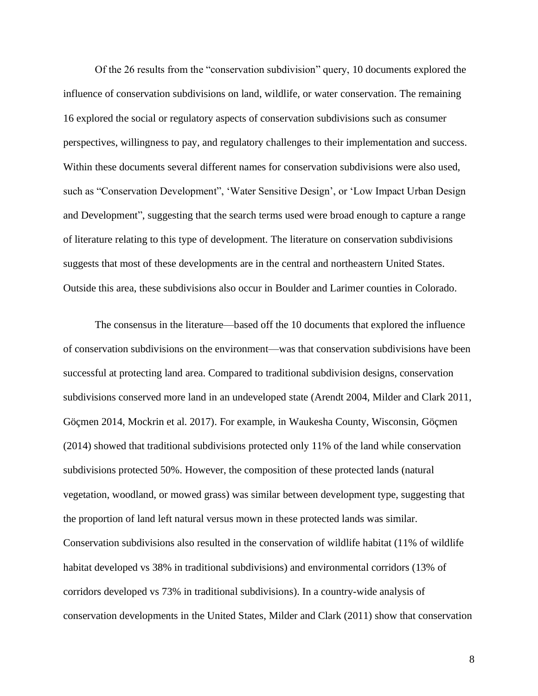Of the 26 results from the "conservation subdivision" query, 10 documents explored the influence of conservation subdivisions on land, wildlife, or water conservation. The remaining 16 explored the social or regulatory aspects of conservation subdivisions such as consumer perspectives, willingness to pay, and regulatory challenges to their implementation and success. Within these documents several different names for conservation subdivisions were also used, such as "Conservation Development", 'Water Sensitive Design', or 'Low Impact Urban Design and Development", suggesting that the search terms used were broad enough to capture a range of literature relating to this type of development. The literature on conservation subdivisions suggests that most of these developments are in the central and northeastern United States. Outside this area, these subdivisions also occur in Boulder and Larimer counties in Colorado.

The consensus in the literature—based off the 10 documents that explored the influence of conservation subdivisions on the environment—was that conservation subdivisions have been successful at protecting land area. Compared to traditional subdivision designs, conservation subdivisions conserved more land in an undeveloped state (Arendt 2004, Milder and Clark 2011, Göçmen 2014, Mockrin et al. 2017). For example, in Waukesha County, Wisconsin, Göçmen (2014) showed that traditional subdivisions protected only 11% of the land while conservation subdivisions protected 50%. However, the composition of these protected lands (natural vegetation, woodland, or mowed grass) was similar between development type, suggesting that the proportion of land left natural versus mown in these protected lands was similar. Conservation subdivisions also resulted in the conservation of wildlife habitat (11% of wildlife habitat developed vs 38% in traditional subdivisions) and environmental corridors (13% of corridors developed vs 73% in traditional subdivisions). In a country-wide analysis of conservation developments in the United States, Milder and Clark (2011) show that conservation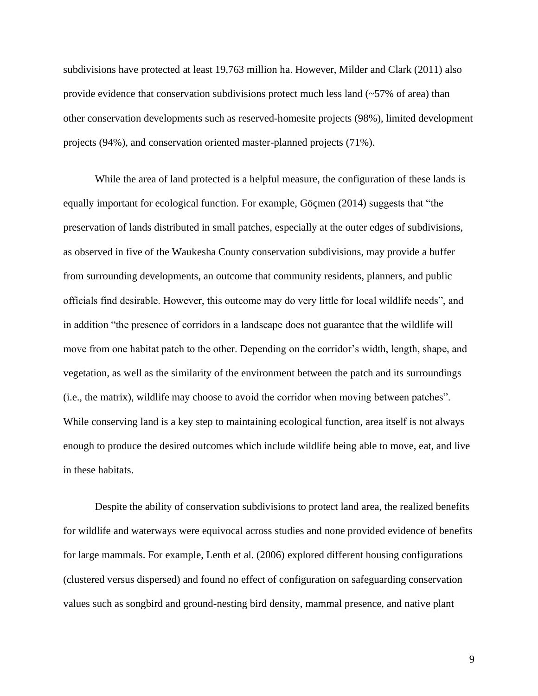subdivisions have protected at least 19,763 million ha. However, Milder and Clark (2011) also provide evidence that conservation subdivisions protect much less land (~57% of area) than other conservation developments such as reserved-homesite projects (98%), limited development projects (94%), and conservation oriented master-planned projects (71%).

While the area of land protected is a helpful measure, the configuration of these lands is equally important for ecological function. For example, Göçmen (2014) suggests that "the preservation of lands distributed in small patches, especially at the outer edges of subdivisions, as observed in five of the Waukesha County conservation subdivisions, may provide a buffer from surrounding developments, an outcome that community residents, planners, and public officials find desirable. However, this outcome may do very little for local wildlife needs", and in addition "the presence of corridors in a landscape does not guarantee that the wildlife will move from one habitat patch to the other. Depending on the corridor's width, length, shape, and vegetation, as well as the similarity of the environment between the patch and its surroundings (i.e., the matrix), wildlife may choose to avoid the corridor when moving between patches". While conserving land is a key step to maintaining ecological function, area itself is not always enough to produce the desired outcomes which include wildlife being able to move, eat, and live in these habitats.

Despite the ability of conservation subdivisions to protect land area, the realized benefits for wildlife and waterways were equivocal across studies and none provided evidence of benefits for large mammals. For example, Lenth et al. (2006) explored different housing configurations (clustered versus dispersed) and found no effect of configuration on safeguarding conservation values such as songbird and ground-nesting bird density, mammal presence, and native plant

9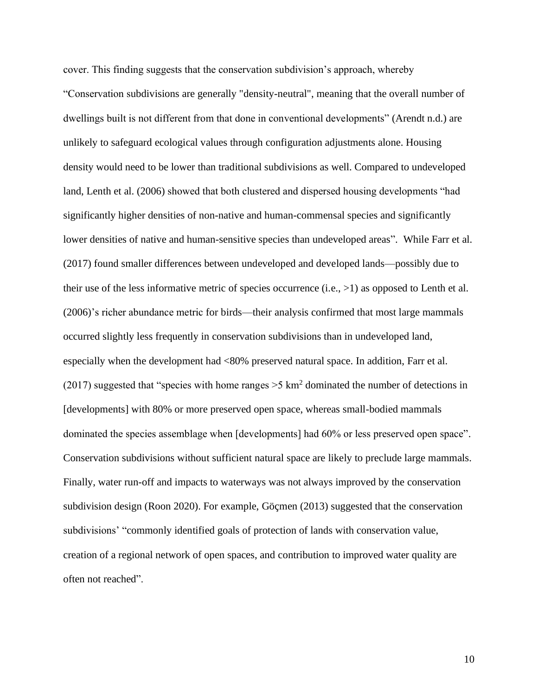cover. This finding suggests that the conservation subdivision's approach, whereby "Conservation subdivisions are generally "density-neutral", meaning that the overall number of dwellings built is not different from that done in conventional developments" (Arendt n.d.) are unlikely to safeguard ecological values through configuration adjustments alone. Housing density would need to be lower than traditional subdivisions as well. Compared to undeveloped land, Lenth et al. (2006) showed that both clustered and dispersed housing developments "had significantly higher densities of non-native and human-commensal species and significantly lower densities of native and human-sensitive species than undeveloped areas". While Farr et al. (2017) found smaller differences between undeveloped and developed lands—possibly due to their use of the less informative metric of species occurrence (i.e., >1) as opposed to Lenth et al. (2006)'s richer abundance metric for birds—their analysis confirmed that most large mammals occurred slightly less frequently in conservation subdivisions than in undeveloped land, especially when the development had <80% preserved natural space. In addition, Farr et al. (2017) suggested that "species with home ranges  $>5 \text{ km}^2$  dominated the number of detections in [developments] with 80% or more preserved open space, whereas small-bodied mammals dominated the species assemblage when [developments] had 60% or less preserved open space". Conservation subdivisions without sufficient natural space are likely to preclude large mammals. Finally, water run-off and impacts to waterways was not always improved by the conservation subdivision design (Roon 2020). For example, Göçmen (2013) suggested that the conservation subdivisions' "commonly identified goals of protection of lands with conservation value, creation of a regional network of open spaces, and contribution to improved water quality are often not reached".

10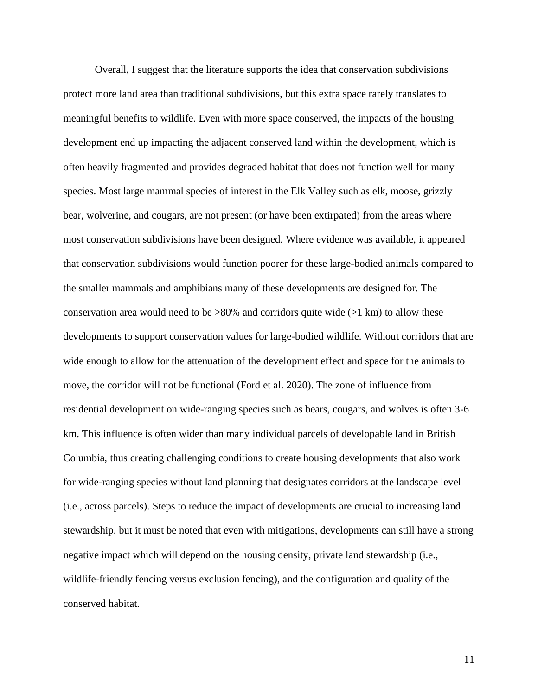Overall, I suggest that the literature supports the idea that conservation subdivisions protect more land area than traditional subdivisions, but this extra space rarely translates to meaningful benefits to wildlife. Even with more space conserved, the impacts of the housing development end up impacting the adjacent conserved land within the development, which is often heavily fragmented and provides degraded habitat that does not function well for many species. Most large mammal species of interest in the Elk Valley such as elk, moose, grizzly bear, wolverine, and cougars, are not present (or have been extirpated) from the areas where most conservation subdivisions have been designed. Where evidence was available, it appeared that conservation subdivisions would function poorer for these large-bodied animals compared to the smaller mammals and amphibians many of these developments are designed for. The conservation area would need to be  $>80\%$  and corridors quite wide ( $>1$  km) to allow these developments to support conservation values for large-bodied wildlife. Without corridors that are wide enough to allow for the attenuation of the development effect and space for the animals to move, the corridor will not be functional (Ford et al. 2020). The zone of influence from residential development on wide-ranging species such as bears, cougars, and wolves is often 3-6 km. This influence is often wider than many individual parcels of developable land in British Columbia, thus creating challenging conditions to create housing developments that also work for wide-ranging species without land planning that designates corridors at the landscape level (i.e., across parcels). Steps to reduce the impact of developments are crucial to increasing land stewardship, but it must be noted that even with mitigations, developments can still have a strong negative impact which will depend on the housing density, private land stewardship (i.e., wildlife-friendly fencing versus exclusion fencing), and the configuration and quality of the conserved habitat.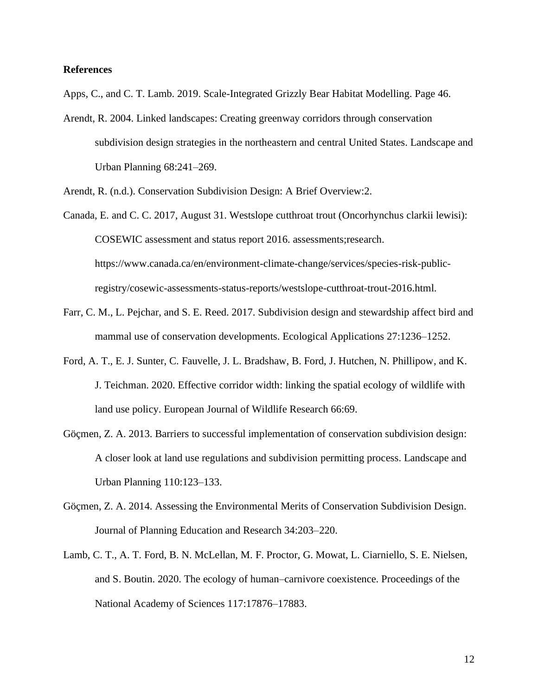# **References**

Apps, C., and C. T. Lamb. 2019. Scale-Integrated Grizzly Bear Habitat Modelling. Page 46.

Arendt, R. 2004. Linked landscapes: Creating greenway corridors through conservation subdivision design strategies in the northeastern and central United States. Landscape and Urban Planning 68:241–269.

Arendt, R. (n.d.). Conservation Subdivision Design: A Brief Overview:2.

Canada, E. and C. C. 2017, August 31. Westslope cutthroat trout (Oncorhynchus clarkii lewisi): COSEWIC assessment and status report 2016. assessments;research. https://www.canada.ca/en/environment-climate-change/services/species-risk-publicregistry/cosewic-assessments-status-reports/westslope-cutthroat-trout-2016.html.

- Farr, C. M., L. Pejchar, and S. E. Reed. 2017. Subdivision design and stewardship affect bird and mammal use of conservation developments. Ecological Applications 27:1236–1252.
- Ford, A. T., E. J. Sunter, C. Fauvelle, J. L. Bradshaw, B. Ford, J. Hutchen, N. Phillipow, and K. J. Teichman. 2020. Effective corridor width: linking the spatial ecology of wildlife with land use policy. European Journal of Wildlife Research 66:69.
- Göçmen, Z. A. 2013. Barriers to successful implementation of conservation subdivision design: A closer look at land use regulations and subdivision permitting process. Landscape and Urban Planning 110:123–133.
- Göçmen, Z. A. 2014. Assessing the Environmental Merits of Conservation Subdivision Design. Journal of Planning Education and Research 34:203–220.
- Lamb, C. T., A. T. Ford, B. N. McLellan, M. F. Proctor, G. Mowat, L. Ciarniello, S. E. Nielsen, and S. Boutin. 2020. The ecology of human–carnivore coexistence. Proceedings of the National Academy of Sciences 117:17876–17883.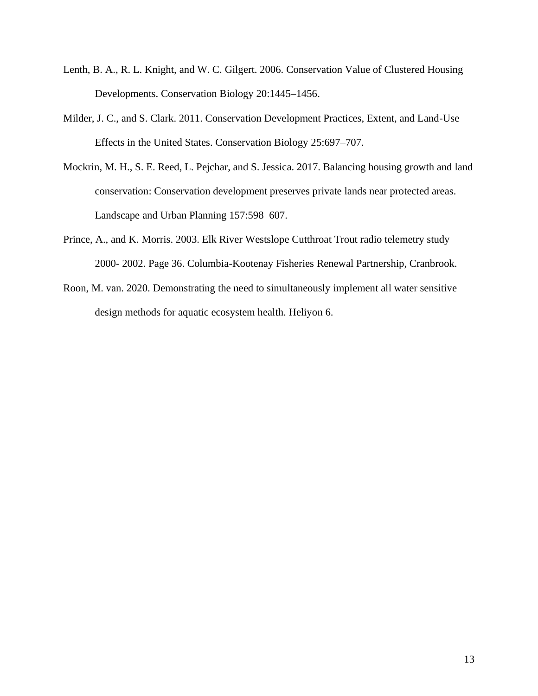- Lenth, B. A., R. L. Knight, and W. C. Gilgert. 2006. Conservation Value of Clustered Housing Developments. Conservation Biology 20:1445–1456.
- Milder, J. C., and S. Clark. 2011. Conservation Development Practices, Extent, and Land-Use Effects in the United States. Conservation Biology 25:697–707.
- Mockrin, M. H., S. E. Reed, L. Pejchar, and S. Jessica. 2017. Balancing housing growth and land conservation: Conservation development preserves private lands near protected areas. Landscape and Urban Planning 157:598–607.
- Prince, A., and K. Morris. 2003. Elk River Westslope Cutthroat Trout radio telemetry study 2000- 2002. Page 36. Columbia-Kootenay Fisheries Renewal Partnership, Cranbrook.
- Roon, M. van. 2020. Demonstrating the need to simultaneously implement all water sensitive design methods for aquatic ecosystem health. Heliyon 6.